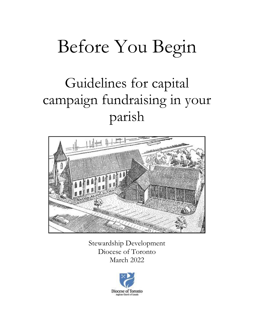# Before You Begin

# Guidelines for capital campaign fundraising in your parish



Stewardship Development Diocese of Toronto March 2022

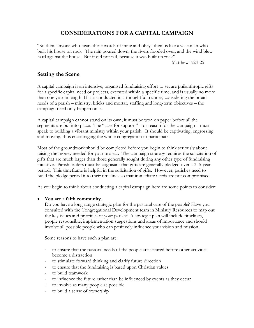# **CONSIDERATIONS FOR A CAPITAL CAMPAIGN**

"So then, anyone who hears these words of mine and obeys them is like a wise man who built his house on rock. The rain poured down, the rivers flooded over, and the wind blew hard against the house. But it did not fail, because it was built on rock"

Matthew 7:24-25

### **Setting the Scene**

A capital campaign is an intensive, organised fundraising effort to secure philanthropic gifts for a specific capital need or projects, executed within a specific time, and is usually no more than one year in length. If it is conducted in a thoughtful manner, considering the broad needs of a parish – ministry, bricks and mortar, staffing and long-term objectives – the campaign need only happen once.

A capital campaign cannot stand on its own; it must be won on paper before all the segments are put into place. The "case for support" – or reason for the campaign – must speak to building a vibrant ministry within your parish. It should be captivating, engrossing and moving, thus encouraging the whole congregation to participate.

Most of the groundwork should be completed before you begin to think seriously about raising the money needed for your project. The campaign strategy requires the solicitation of gifts that are much larger than those generally sought during any other type of fundraising initiative. Parish leaders must be cognisant that gifts are generally pledged over a 3–5-year period. This timeframe is helpful in the solicitation of gifts. However, parishes need to build the pledge period into their timelines so that immediate needs are not compromised.

As you begin to think about conducting a capital campaign here are some points to consider:

#### • **You are a faith community.**

Do you have a long-range strategic plan for the pastoral care of the people? Have you consulted with the Congregational Development team in Ministry Resources to map out the key issues and priorities of your parish? A strategic plan will include timelines, people responsible, implementation suggestions and areas of importance and should involve all possible people who can positively influence your vision and mission.

Some reasons to have such a plan are:

- to ensure that the pastoral needs of the people are secured before other activities become a distraction
- to stimulate forward thinking and clarify future direction
- to ensure that the fundraising is based upon Christian values
- to build teamwork
- to influence the future rather than be influenced by events as they occur
- to involve as many people as possible
- to build a sense of ownership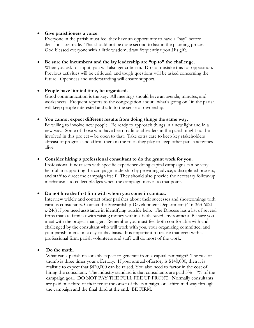#### • **Give parishioners a voice.**

Everyone in the parish must feel they have an opportunity to have a "say" before decisions are made. This should not be done second to last in the planning process. God blessed everyone with a little wisdom, draw frequently upon His gift.

• **Be sure the incumbent and the lay leadership are "up to" the challenge.**  When you ask for input, you will also get criticism. Do not mistake this for opposition. Previous activities will be critiqued, and tough questions will be asked concerning the future. Openness and understanding will ensure support.

#### • **People have limited time, be organised.**  Good communication is the key. All meetings should have an agenda, minutes, and worksheets. Frequent reports to the congregation about "what's going on" in the parish will keep people interested and add to the sense of ownership.

#### • **You cannot expect different results from doing things the same way.**

Be willing to involve new people. Be ready to approach things in a new light and in a new way. Some of those who have been traditional leaders in the parish might not be involved in this project – be open to that. Take extra care to keep key stakeholders abreast of progress and affirm them in the roles they play to keep other parish activities alive.

#### • **Consider hiring a professional consultant to do the grunt work for you.**

Professional fundraisers with specific experience doing capital campaigns can be very helpful in supporting the campaign leadership by providing advice, a disciplined process, and staff to direct the campaign itself. They should also provide the necessary follow-up mechanisms to collect pledges when the campaign moves to that point.

#### • **Do not hire the first firm with whom you come in contact.**

Interview widely and contact other parishes about their successes and shortcomings with various consultants. Contact the Stewardship Development Department (416-363-6021 x-246) if you need assistance in identifying outside help. The Diocese has a list of several firms that are familiar with raising money within a faith-based environment. Be sure you meet with the project manager. Remember you must feel both comfortable with and challenged by the consultant who will work with you, your organizing committee, and your parishioners, on a day-to-day basis. It is important to realise that even with a professional firm, parish volunteers and staff will do most of the work.

#### • **Do the math.**

What can a parish reasonably expect to generate from a capital campaign? The rule of thumb is three times your offertory. If your annual offertory is \$140,000, then it is realistic to expect that \$420,000 can be raised. You also need to factor in the cost of hiring the consultant. The industry standard is that consultants are paid 5% - 7% of the campaign goal. DO NOT PAY THE FULL FEE UP FRONT. Normally consultants are paid one-third of their fee at the onset of the campaign, one-third mid-way through the campaign and the final third at the end. BE FIRM.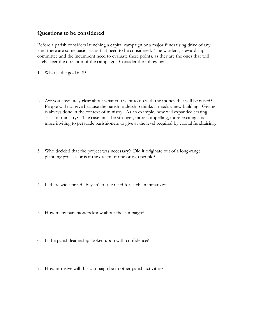#### **Questions to be considered**

Before a parish considers launching a capital campaign or a major fundraising drive of any kind there are some basic issues that need to be considered. The wardens, stewardship committee and the incumbent need to evaluate these points, as they are the ones that will likely steer the direction of the campaign. Consider the following:

- 1. What is the goal in \$?
- 2. Are you absolutely clear about what you want to do with the money that will be raised? People will not give because the parish leadership thinks it needs a new building. Giving is always done in the context of ministry. As an example, how will expanded seating assist in ministry? The case must be stronger, more compelling, more exciting, and more inviting to persuade parishioners to give at the level required by capital fundraising.
- 3. Who decided that the project was necessary? Did it originate out of a long-range planning process or is it the dream of one or two people?
- 4. Is there widespread "buy-in" to the need for such an initiative?
- 5. How many parishioners know about the campaign?
- 6. Is the parish leadership looked upon with confidence?
- 7. How intrusive will this campaign be to other parish activities?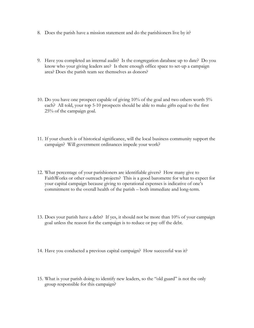- 8. Does the parish have a mission statement and do the parishioners live by it?
- 9. Have you completed an internal audit? Is the congregation database up to date? Do you know who your giving leaders are? Is there enough office space to set-up a campaign area? Does the parish team see themselves as donors?
- 10. Do you have one prospect capable of giving 10% of the goal and two others worth 5% each? All told, your top 5-10 prospects should be able to make gifts equal to the first 25% of the campaign goal.
- 11. If your church is of historical significance, will the local business community support the campaign? Will government ordinances impede your work?
- 12. What percentage of your parishioners are identifiable givers? How many give to FaithWorks or other outreach projects? This is a good barometre for what to expect for your capital campaign because giving to operational expenses is indicative of one's commitment to the overall health of the parish – both immediate and long-term.
- 13. Does your parish have a debt? If yes, it should not be more than 10% of your campaign goal unless the reason for the campaign is to reduce or pay off the debt.
- 14. Have you conducted a previous capital campaign? How successful was it?
- 15. What is your parish doing to identify new leaders, so the "old guard" is not the only group responsible for this campaign?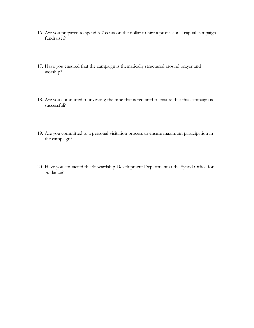- 16. Are you prepared to spend 5-7 cents on the dollar to hire a professional capital campaign fundraiser?
- 17. Have you ensured that the campaign is thematically structured around prayer and worship?
- 18. Are you committed to investing the time that is required to ensure that this campaign is successful?
- 19. Are you committed to a personal visitation process to ensure maximum participation in the campaign?
- 20. Have you contacted the Stewardship Development Department at the Synod Office for guidance?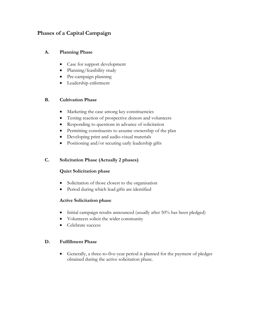## **Phases of a Capital Campaign**

#### **A. Planning Phase**

- Case for support development
- Planning/feasibility study
- Pre-campaign planning
- Leadership enlistment

#### **B. Cultivation Phase**

- Marketing the case among key constituencies
- Testing reaction of prospective donors and volunteers
- Responding to questions in advance of solicitation
- Permitting constituents to assume ownership of the plan
- Developing print and audio-visual materials
- Positioning and/or securing early leadership gifts

#### **C. Solicitation Phase (Actually 2 phases)**

#### **Quiet Solicitation phase**

- Solicitation of those closest to the organisation
- Period during which lead gifts are identified

#### **Active Solicitation phase**

- Initial campaign results announced (usually after 50% has been pledged)
- Volunteers solicit the wider community
- Celebrate success

#### **D. Fulfillment Phase**

• Generally, a three-to-five-year period is planned for the payment of pledges obtained during the active solicitation phase.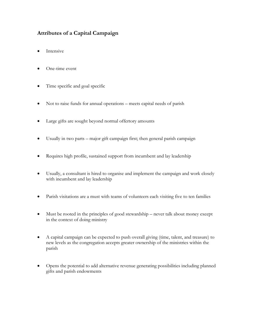# **Attributes of a Capital Campaign**

- Intensive
- One-time event
- Time specific and goal specific
- Not to raise funds for annual operations meets capital needs of parish
- Large gifts are sought beyond normal offertory amounts
- Usually in two parts major gift campaign first; then general parish campaign
- Requires high profile, sustained support from incumbent and lay leadership
- Usually, a consultant is hired to organise and implement the campaign and work closely with incumbent and lay leadership
- Parish visitations are a must with teams of volunteers each visiting five to ten families
- Must be rooted in the principles of good stewardship never talk about money except in the context of doing ministry
- A capital campaign can be expected to push overall giving (time, talent, and treasure) to new levels as the congregation accepts greater ownership of the ministries within the parish
- Opens the potential to add alternative revenue generating possibilities including planned gifts and parish endowments